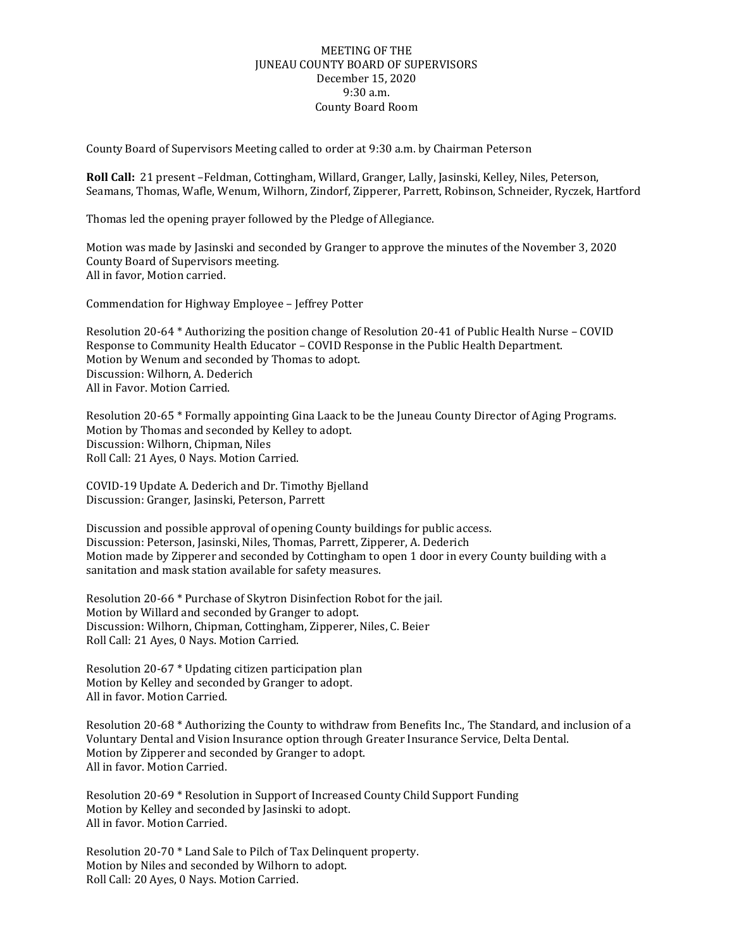## MEETING OF THE JUNEAU COUNTY BOARD OF SUPERVISORS December 15, 2020 9:30 a.m. County Board Room

County Board of Supervisors Meeting called to order at 9:30 a.m. by Chairman Peterson

**Roll Call:** 21 present –Feldman, Cottingham, Willard, Granger, Lally, Jasinski, Kelley, Niles, Peterson, Seamans, Thomas, Wafle, Wenum, Wilhorn, Zindorf, Zipperer, Parrett, Robinson, Schneider, Ryczek, Hartford

Thomas led the opening prayer followed by the Pledge of Allegiance.

Motion was made by Jasinski and seconded by Granger to approve the minutes of the November 3, 2020 County Board of Supervisors meeting. All in favor, Motion carried.

Commendation for Highway Employee – Jeffrey Potter

Resolution 20-64 \* Authorizing the position change of Resolution 20-41 of Public Health Nurse – COVID Response to Community Health Educator – COVID Response in the Public Health Department. Motion by Wenum and seconded by Thomas to adopt. Discussion: Wilhorn, A. Dederich All in Favor. Motion Carried.

Resolution 20-65 \* Formally appointing Gina Laack to be the Juneau County Director of Aging Programs. Motion by Thomas and seconded by Kelley to adopt. Discussion: Wilhorn, Chipman, Niles Roll Call: 21 Ayes, 0 Nays. Motion Carried.

COVID-19 Update A. Dederich and Dr. Timothy Bjelland Discussion: Granger, Jasinski, Peterson, Parrett

Discussion and possible approval of opening County buildings for public access. Discussion: Peterson, Jasinski, Niles, Thomas, Parrett, Zipperer, A. Dederich Motion made by Zipperer and seconded by Cottingham to open 1 door in every County building with a sanitation and mask station available for safety measures.

Resolution 20-66 \* Purchase of Skytron Disinfection Robot for the jail. Motion by Willard and seconded by Granger to adopt. Discussion: Wilhorn, Chipman, Cottingham, Zipperer, Niles, C. Beier Roll Call: 21 Ayes, 0 Nays. Motion Carried.

Resolution 20-67 \* Updating citizen participation plan Motion by Kelley and seconded by Granger to adopt. All in favor. Motion Carried.

Resolution 20-68 \* Authorizing the County to withdraw from Benefits Inc., The Standard, and inclusion of a Voluntary Dental and Vision Insurance option through Greater Insurance Service, Delta Dental. Motion by Zipperer and seconded by Granger to adopt. All in favor. Motion Carried.

Resolution 20-69 \* Resolution in Support of Increased County Child Support Funding Motion by Kelley and seconded by Jasinski to adopt. All in favor. Motion Carried.

Resolution 20-70 \* Land Sale to Pilch of Tax Delinquent property. Motion by Niles and seconded by Wilhorn to adopt. Roll Call: 20 Ayes, 0 Nays. Motion Carried.